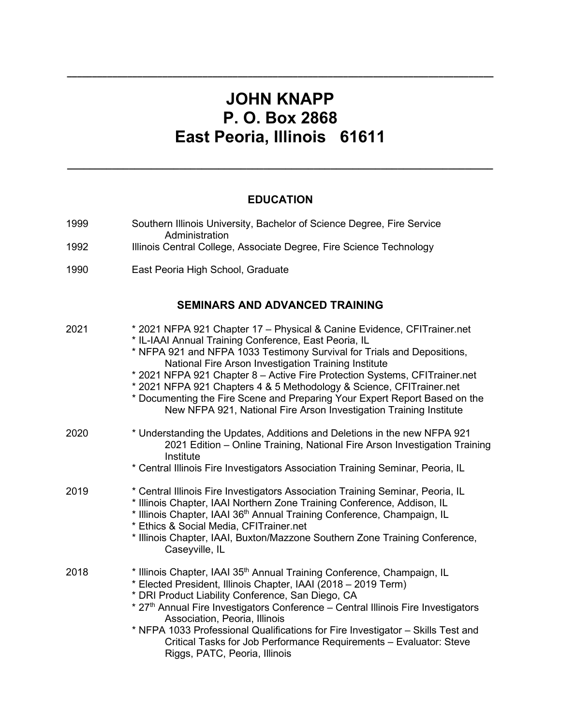# **JOHN KNAPP P. O. Box 2868 East Peoria, Illinois 61611**

**\_\_\_\_\_\_\_\_\_\_\_\_\_\_\_\_\_\_\_\_\_\_\_\_\_\_\_\_\_\_\_\_\_\_\_\_\_\_\_\_\_\_\_\_\_\_\_\_\_\_\_\_\_\_\_\_\_\_\_\_\_\_\_\_\_\_\_\_\_\_\_\_\_\_\_\_\_\_\_\_\_\_\_\_\_**

## **EDUCATION**

**\_\_\_\_\_\_\_\_\_\_\_\_\_\_\_\_\_\_\_\_\_\_\_\_\_\_\_\_\_\_\_\_\_\_\_\_\_\_\_\_\_\_\_\_\_\_\_\_\_\_\_\_\_\_\_\_\_\_\_\_\_\_\_\_\_\_\_\_\_\_\_\_\_\_\_\_**

| 1999 | Southern Illinois University, Bachelor of Science Degree, Fire Service<br>Administration                                                                                                                                                                                                                                                                                                                                                                                                                                                                                      |
|------|-------------------------------------------------------------------------------------------------------------------------------------------------------------------------------------------------------------------------------------------------------------------------------------------------------------------------------------------------------------------------------------------------------------------------------------------------------------------------------------------------------------------------------------------------------------------------------|
| 1992 | Illinois Central College, Associate Degree, Fire Science Technology                                                                                                                                                                                                                                                                                                                                                                                                                                                                                                           |
| 1990 | East Peoria High School, Graduate                                                                                                                                                                                                                                                                                                                                                                                                                                                                                                                                             |
|      | <b>SEMINARS AND ADVANCED TRAINING</b>                                                                                                                                                                                                                                                                                                                                                                                                                                                                                                                                         |
| 2021 | * 2021 NFPA 921 Chapter 17 - Physical & Canine Evidence, CFITrainer.net<br>* IL-IAAI Annual Training Conference, East Peoria, IL<br>* NFPA 921 and NFPA 1033 Testimony Survival for Trials and Depositions,<br>National Fire Arson Investigation Training Institute<br>* 2021 NFPA 921 Chapter 8 - Active Fire Protection Systems, CFITrainer.net<br>* 2021 NFPA 921 Chapters 4 & 5 Methodology & Science, CFITrainer.net<br>* Documenting the Fire Scene and Preparing Your Expert Report Based on the<br>New NFPA 921, National Fire Arson Investigation Training Institute |
| 2020 | * Understanding the Updates, Additions and Deletions in the new NFPA 921<br>2021 Edition - Online Training, National Fire Arson Investigation Training<br>Institute<br>* Central Illinois Fire Investigators Association Training Seminar, Peoria, IL                                                                                                                                                                                                                                                                                                                         |
| 2019 | * Central Illinois Fire Investigators Association Training Seminar, Peoria, IL<br>* Illinois Chapter, IAAI Northern Zone Training Conference, Addison, IL<br>* Illinois Chapter, IAAI 36 <sup>th</sup> Annual Training Conference, Champaign, IL<br>* Ethics & Social Media, CFITrainer.net<br>* Illinois Chapter, IAAI, Buxton/Mazzone Southern Zone Training Conference,<br>Caseyville, IL                                                                                                                                                                                  |
| 2018 | * Illinois Chapter, IAAI 35 <sup>th</sup> Annual Training Conference, Champaign, IL<br>* Elected President, Illinois Chapter, IAAI (2018 - 2019 Term)<br>* DRI Product Liability Conference, San Diego, CA<br>* 27th Annual Fire Investigators Conference - Central Illinois Fire Investigators<br>Association, Peoria, Illinois<br>* NFPA 1033 Professional Qualifications for Fire Investigator - Skills Test and<br>Critical Tasks for Job Performance Requirements - Evaluator: Steve<br>Riggs, PATC, Peoria, Illinois                                                    |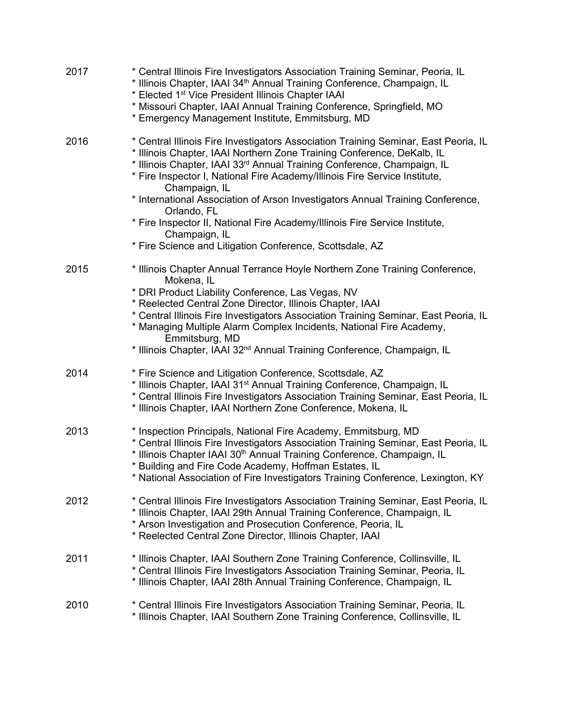| 2017 | * Central Illinois Fire Investigators Association Training Seminar, Peoria, IL<br>* Illinois Chapter, IAAI 34 <sup>th</sup> Annual Training Conference, Champaign, IL<br>* Elected 1 <sup>st</sup> Vice President Illinois Chapter IAAI<br>* Missouri Chapter, IAAI Annual Training Conference, Springfield, MO<br>* Emergency Management Institute, Emmitsburg, MD                                                                                                                                                                                                                                  |
|------|------------------------------------------------------------------------------------------------------------------------------------------------------------------------------------------------------------------------------------------------------------------------------------------------------------------------------------------------------------------------------------------------------------------------------------------------------------------------------------------------------------------------------------------------------------------------------------------------------|
| 2016 | * Central Illinois Fire Investigators Association Training Seminar, East Peoria, IL<br>* Illinois Chapter, IAAI Northern Zone Training Conference, DeKalb, IL<br>* Illinois Chapter, IAAI 33rd Annual Training Conference, Champaign, IL<br>* Fire Inspector I, National Fire Academy/Illinois Fire Service Institute,<br>Champaign, IL<br>* International Association of Arson Investigators Annual Training Conference,<br>Orlando, FL<br>* Fire Inspector II, National Fire Academy/Illinois Fire Service Institute,<br>Champaign, IL<br>* Fire Science and Litigation Conference, Scottsdale, AZ |
| 2015 | * Illinois Chapter Annual Terrance Hoyle Northern Zone Training Conference,<br>Mokena, IL<br>* DRI Product Liability Conference, Las Vegas, NV<br>* Reelected Central Zone Director, Illinois Chapter, IAAI<br>* Central Illinois Fire Investigators Association Training Seminar, East Peoria, IL<br>* Managing Multiple Alarm Complex Incidents, National Fire Academy,<br>Emmitsburg, MD<br>* Illinois Chapter, IAAI 32 <sup>nd</sup> Annual Training Conference, Champaign, IL                                                                                                                   |
| 2014 | * Fire Science and Litigation Conference, Scottsdale, AZ<br>* Illinois Chapter, IAAI 31 <sup>st</sup> Annual Training Conference, Champaign, IL<br>* Central Illinois Fire Investigators Association Training Seminar, East Peoria, IL<br>* Illinois Chapter, IAAI Northern Zone Conference, Mokena, IL                                                                                                                                                                                                                                                                                              |
| 2013 | * Inspection Principals, National Fire Academy, Emmitsburg, MD<br>* Central Illinois Fire Investigators Association Training Seminar, East Peoria, IL<br>* Illinois Chapter IAAI 30 <sup>th</sup> Annual Training Conference, Champaign, IL<br>* Building and Fire Code Academy, Hoffman Estates, IL<br>* National Association of Fire Investigators Training Conference, Lexington, KY                                                                                                                                                                                                              |
| 2012 | * Central Illinois Fire Investigators Association Training Seminar, East Peoria, IL<br>* Illinois Chapter, IAAI 29th Annual Training Conference, Champaign, IL<br>* Arson Investigation and Prosecution Conference, Peoria, IL<br>* Reelected Central Zone Director, Illinois Chapter, IAAI                                                                                                                                                                                                                                                                                                          |
| 2011 | * Illinois Chapter, IAAI Southern Zone Training Conference, Collinsville, IL<br>* Central Illinois Fire Investigators Association Training Seminar, Peoria, IL<br>* Illinois Chapter, IAAI 28th Annual Training Conference, Champaign, IL                                                                                                                                                                                                                                                                                                                                                            |
| 2010 | * Central Illinois Fire Investigators Association Training Seminar, Peoria, IL<br>* Illinois Chapter, IAAI Southern Zone Training Conference, Collinsville, IL                                                                                                                                                                                                                                                                                                                                                                                                                                       |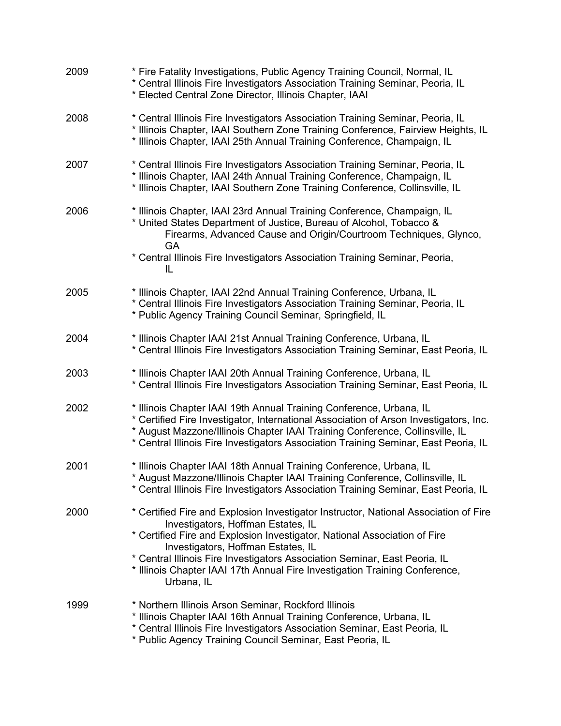| 2009 | * Fire Fatality Investigations, Public Agency Training Council, Normal, IL<br>* Central Illinois Fire Investigators Association Training Seminar, Peoria, IL<br>* Elected Central Zone Director, Illinois Chapter, IAAI                                                                                                                                                                                                  |
|------|--------------------------------------------------------------------------------------------------------------------------------------------------------------------------------------------------------------------------------------------------------------------------------------------------------------------------------------------------------------------------------------------------------------------------|
| 2008 | * Central Illinois Fire Investigators Association Training Seminar, Peoria, IL<br>* Illinois Chapter, IAAI Southern Zone Training Conference, Fairview Heights, IL<br>* Illinois Chapter, IAAI 25th Annual Training Conference, Champaign, IL                                                                                                                                                                            |
| 2007 | * Central Illinois Fire Investigators Association Training Seminar, Peoria, IL<br>* Illinois Chapter, IAAI 24th Annual Training Conference, Champaign, IL<br>* Illinois Chapter, IAAI Southern Zone Training Conference, Collinsville, IL                                                                                                                                                                                |
| 2006 | * Illinois Chapter, IAAI 23rd Annual Training Conference, Champaign, IL<br>* United States Department of Justice, Bureau of Alcohol, Tobacco &<br>Firearms, Advanced Cause and Origin/Courtroom Techniques, Glynco,<br><b>GA</b>                                                                                                                                                                                         |
|      | * Central Illinois Fire Investigators Association Training Seminar, Peoria,<br>IL                                                                                                                                                                                                                                                                                                                                        |
| 2005 | * Illinois Chapter, IAAI 22nd Annual Training Conference, Urbana, IL<br>* Central Illinois Fire Investigators Association Training Seminar, Peoria, IL<br>* Public Agency Training Council Seminar, Springfield, IL                                                                                                                                                                                                      |
| 2004 | * Illinois Chapter IAAI 21st Annual Training Conference, Urbana, IL<br>* Central Illinois Fire Investigators Association Training Seminar, East Peoria, IL                                                                                                                                                                                                                                                               |
| 2003 | * Illinois Chapter IAAI 20th Annual Training Conference, Urbana, IL<br>* Central Illinois Fire Investigators Association Training Seminar, East Peoria, IL                                                                                                                                                                                                                                                               |
| 2002 | * Illinois Chapter IAAI 19th Annual Training Conference, Urbana, IL<br>* Certified Fire Investigator, International Association of Arson Investigators, Inc.<br>* August Mazzone/Illinois Chapter IAAI Training Conference, Collinsville, IL<br>* Central Illinois Fire Investigators Association Training Seminar, East Peoria, IL                                                                                      |
| 2001 | * Illinois Chapter IAAI 18th Annual Training Conference, Urbana, IL<br>* August Mazzone/Illinois Chapter IAAI Training Conference, Collinsville, IL<br>* Central Illinois Fire Investigators Association Training Seminar, East Peoria, IL                                                                                                                                                                               |
| 2000 | * Certified Fire and Explosion Investigator Instructor, National Association of Fire<br>Investigators, Hoffman Estates, IL<br>* Certified Fire and Explosion Investigator, National Association of Fire<br>Investigators, Hoffman Estates, IL<br>* Central Illinois Fire Investigators Association Seminar, East Peoria, IL<br>* Illinois Chapter IAAI 17th Annual Fire Investigation Training Conference,<br>Urbana, IL |
| 1999 | * Northern Illinois Arson Seminar, Rockford Illinois<br>* Illinois Chapter IAAI 16th Annual Training Conference, Urbana, IL<br>* Central Illinois Fire Investigators Association Seminar, East Peoria, IL<br>* Public Agency Training Council Seminar, East Peoria, IL                                                                                                                                                   |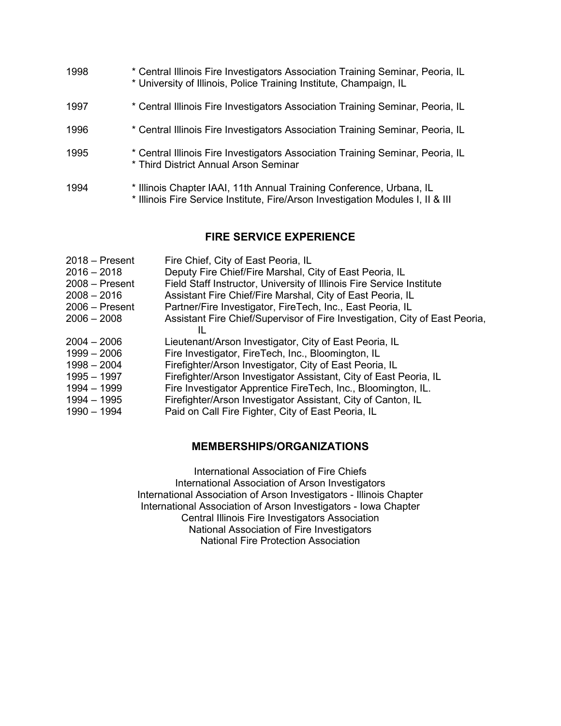| 1998 | * Central Illinois Fire Investigators Association Training Seminar, Peoria, IL<br>* University of Illinois, Police Training Institute, Champaign, IL    |
|------|---------------------------------------------------------------------------------------------------------------------------------------------------------|
| 1997 | * Central Illinois Fire Investigators Association Training Seminar, Peoria, IL                                                                          |
| 1996 | * Central Illinois Fire Investigators Association Training Seminar, Peoria, IL                                                                          |
| 1995 | * Central Illinois Fire Investigators Association Training Seminar, Peoria, IL<br>* Third District Annual Arson Seminar                                 |
| 1994 | * Illinois Chapter IAAI, 11th Annual Training Conference, Urbana, IL<br>* Illinois Fire Service Institute, Fire/Arson Investigation Modules I, II & III |

#### **FIRE SERVICE EXPERIENCE**

| $2018 -$ Present<br>$2016 - 2018$<br>$2008 -$ Present<br>$2008 - 2016$<br>$2006 -$ Present<br>$2006 - 2008$ | Fire Chief, City of East Peoria, IL<br>Deputy Fire Chief/Fire Marshal, City of East Peoria, IL<br>Field Staff Instructor, University of Illinois Fire Service Institute<br>Assistant Fire Chief/Fire Marshal, City of East Peoria, IL<br>Partner/Fire Investigator, FireTech, Inc., East Peoria, IL<br>Assistant Fire Chief/Supervisor of Fire Investigation, City of East Peoria,<br>Ш. |
|-------------------------------------------------------------------------------------------------------------|------------------------------------------------------------------------------------------------------------------------------------------------------------------------------------------------------------------------------------------------------------------------------------------------------------------------------------------------------------------------------------------|
| $2004 - 2006$                                                                                               | Lieutenant/Arson Investigator, City of East Peoria, IL                                                                                                                                                                                                                                                                                                                                   |
| $1999 - 2006$                                                                                               | Fire Investigator, FireTech, Inc., Bloomington, IL                                                                                                                                                                                                                                                                                                                                       |
| $1998 - 2004$                                                                                               | Firefighter/Arson Investigator, City of East Peoria, IL                                                                                                                                                                                                                                                                                                                                  |
| $1995 - 1997$                                                                                               | Firefighter/Arson Investigator Assistant, City of East Peoria, IL                                                                                                                                                                                                                                                                                                                        |
| 1994 - 1999                                                                                                 | Fire Investigator Apprentice FireTech, Inc., Bloomington, IL.                                                                                                                                                                                                                                                                                                                            |
| $1994 - 1995$                                                                                               | Firefighter/Arson Investigator Assistant, City of Canton, IL                                                                                                                                                                                                                                                                                                                             |
| 1990 - 1994                                                                                                 | Paid on Call Fire Fighter, City of East Peoria, IL                                                                                                                                                                                                                                                                                                                                       |

### **MEMBERSHIPS/ORGANIZATIONS**

International Association of Fire Chiefs International Association of Arson Investigators International Association of Arson Investigators - Illinois Chapter International Association of Arson Investigators - Iowa Chapter Central Illinois Fire Investigators Association National Association of Fire Investigators National Fire Protection Association